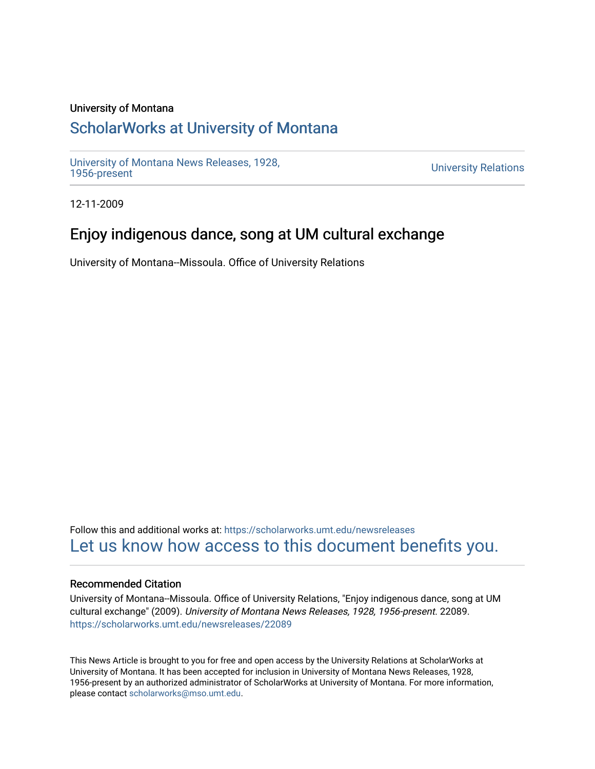### University of Montana

## [ScholarWorks at University of Montana](https://scholarworks.umt.edu/)

[University of Montana News Releases, 1928,](https://scholarworks.umt.edu/newsreleases) 

**University Relations** 

12-11-2009

# Enjoy indigenous dance, song at UM cultural exchange

University of Montana--Missoula. Office of University Relations

Follow this and additional works at: [https://scholarworks.umt.edu/newsreleases](https://scholarworks.umt.edu/newsreleases?utm_source=scholarworks.umt.edu%2Fnewsreleases%2F22089&utm_medium=PDF&utm_campaign=PDFCoverPages) [Let us know how access to this document benefits you.](https://goo.gl/forms/s2rGfXOLzz71qgsB2) 

#### Recommended Citation

University of Montana--Missoula. Office of University Relations, "Enjoy indigenous dance, song at UM cultural exchange" (2009). University of Montana News Releases, 1928, 1956-present. 22089. [https://scholarworks.umt.edu/newsreleases/22089](https://scholarworks.umt.edu/newsreleases/22089?utm_source=scholarworks.umt.edu%2Fnewsreleases%2F22089&utm_medium=PDF&utm_campaign=PDFCoverPages) 

This News Article is brought to you for free and open access by the University Relations at ScholarWorks at University of Montana. It has been accepted for inclusion in University of Montana News Releases, 1928, 1956-present by an authorized administrator of ScholarWorks at University of Montana. For more information, please contact [scholarworks@mso.umt.edu.](mailto:scholarworks@mso.umt.edu)